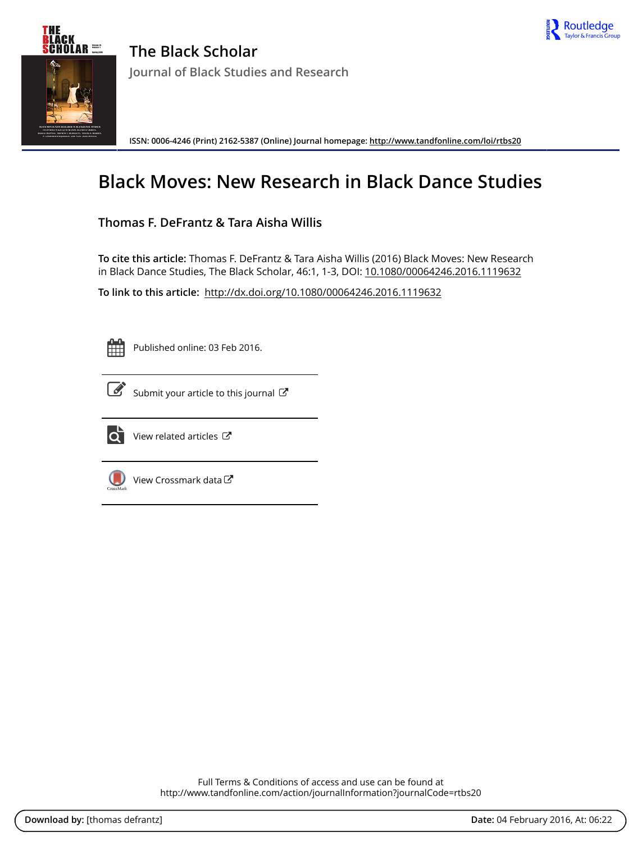



**The Black Scholar Journal of Black Studies and Research**

**ISSN: 0006-4246 (Print) 2162-5387 (Online) Journal homepage:<http://www.tandfonline.com/loi/rtbs20>**

# **Black Moves: New Research in Black Dance Studies**

### **Thomas F. DeFrantz & Tara Aisha Willis**

**To cite this article:** Thomas F. DeFrantz & Tara Aisha Willis (2016) Black Moves: New Research in Black Dance Studies, The Black Scholar, 46:1, 1-3, DOI: [10.1080/00064246.2016.1119632](http://www.tandfonline.com/action/showCitFormats?doi=10.1080/00064246.2016.1119632)

**To link to this article:** <http://dx.doi.org/10.1080/00064246.2016.1119632>

Published online: 03 Feb 2016.



 $\overrightarrow{S}$  [Submit your article to this journal](http://www.tandfonline.com/action/authorSubmission?journalCode=rtbs20&page=instructions)  $\overrightarrow{S}$ 



 $\overrightarrow{Q}$  [View related articles](http://www.tandfonline.com/doi/mlt/10.1080/00064246.2016.1119632)  $\overrightarrow{C}$ 



[View Crossmark data](http://crossmark.crossref.org/dialog/?doi=10.1080/00064246.2016.1119632&domain=pdf&date_stamp=2016-02-03)<sup>で</sup>

Full Terms & Conditions of access and use can be found at <http://www.tandfonline.com/action/journalInformation?journalCode=rtbs20>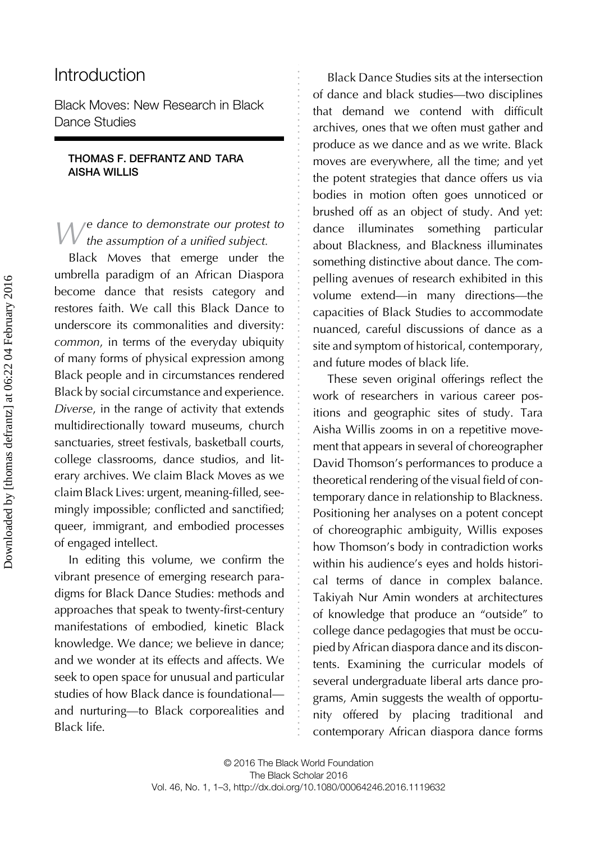## Introduction

Black Moves: New Research in Black Dance Studies

#### THOMAS F. DEFRANTZ AND TARA AISHA WILLIS

#### re dance to demonstrate our protest to the assumption of a unified subject.

Black Moves that emerge under the umbrella paradigm of an African Diaspora become dance that resists category and restores faith. We call this Black Dance to underscore its commonalities and diversity: common, in terms of the everyday ubiquity of many forms of physical expression among Black people and in circumstances rendered Black by social circumstance and experience. Diverse, in the range of activity that extends multidirectionally toward museums, church sanctuaries, street festivals, basketball courts, college classrooms, dance studios, and literary archives. We claim Black Moves as we claim Black Lives: urgent, meaning-filled, seemingly impossible; conflicted and sanctified; queer, immigrant, and embodied processes of engaged intellect.

In editing this volume, we confirm the vibrant presence of emerging research paradigms for Black Dance Studies: methods and approaches that speak to twenty-first-century manifestations of embodied, kinetic Black knowledge. We dance; we believe in dance; and we wonder at its effects and affects. We seek to open space for unusual and particular studies of how Black dance is foundational and nurturing—to Black corporealities and Black life.

Black Dance Studies sits at the intersection of dance and black studies—two disciplines that demand we contend with difficult archives, ones that we often must gather and produce as we dance and as we write. Black moves are everywhere, all the time; and yet the potent strategies that dance offers us via bodies in motion often goes unnoticed or brushed off as an object of study. And yet: dance illuminates something particular about Blackness, and Blackness illuminates something distinctive about dance. The compelling avenues of research exhibited in this volume extend—in many directions—the capacities of Black Studies to accommodate nuanced, careful discussions of dance as a site and symptom of historical, contemporary, and future modes of black life.

These seven original offerings reflect the work of researchers in various career positions and geographic sites of study. Tara Aisha Willis zooms in on a repetitive movement that appears in several of choreographer David Thomson's performances to produce a theoretical rendering of the visual field of contemporary dance in relationship to Blackness. Positioning her analyses on a potent concept of choreographic ambiguity, Willis exposes how Thomson's body in contradiction works within his audience's eyes and holds historical terms of dance in complex balance. Takiyah Nur Amin wonders at architectures of knowledge that produce an "outside" to college dance pedagogies that must be occupied by African diaspora dance and its discontents. Examining the curricular models of several undergraduate liberal arts dance programs, Amin suggests the wealth of opportunity offered by placing traditional and contemporary African diaspora dance forms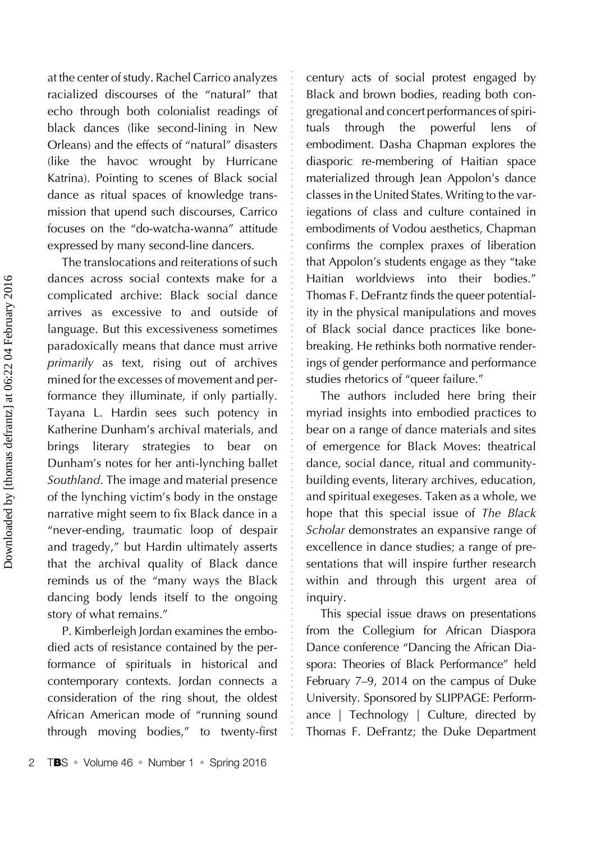at the center of study. Rachel Carrico analyzes racialized discourses of the "natural" that echo through both colonialist readings of black dances (like second-lining in New Orleans) and the effects of "natural" disasters (like the havoc wrought by Hurricane Katrina). Pointing to scenes of Black social dance as ritual spaces of knowledge transmission that upend such discourses, Carrico focuses on the "do-watcha-wanna" attitude expressed by many second-line dancers.

The translocations and reiterations of such dances across social contexts make for a complicated archive: Black social dance arrives as excessive to and outside of language. But this excessiveness sometimes paradoxically means that dance must arrive primarily as text, rising out of archives mined for the excesses of movement and performance they illuminate, if only partially. Tayana L. Hardin sees such potency in Katherine Dunham's archival materials, and brings literary strategies to bear on Dunham's notes for her anti-lynching ballet Southland. The image and material presence of the lynching victim's body in the onstage narrative might seem to fix Black dance in a "never-ending, traumatic loop of despair and tragedy," but Hardin ultimately asserts that the archival quality of Black dance reminds us of the "many ways the Black dancing body lends itself to the ongoing story of what remains."

P. Kimberleigh Jordan examines the embodied acts of resistance contained by the performance of spirituals in historical and contemporary contexts. Jordan connects a consideration of the ring shout, the oldest African American mode of "running sound through moving bodies," to twenty-first century acts of social protest engaged by Black and brown bodies, reading both congregational and concert performances of spirituals through the powerful lens of embodiment. Dasha Chapman explores the diasporic re-membering of Haitian space materialized through Jean Appolon's dance classes in the United States. Writing to the variegations of class and culture contained in embodiments of Vodou aesthetics, Chapman confirms the complex praxes of liberation that Appolon's students engage as they "take Haitian worldviews into their bodies." Thomas F. DeFrantz finds the queer potentiality in the physical manipulations and moves of Black social dance practices like bonebreaking. He rethinks both normative renderings of gender performance and performance studies rhetorics of "queer failure."

The authors included here bring their myriad insights into embodied practices to bear on a range of dance materials and sites of emergence for Black Moves: theatrical dance, social dance, ritual and communitybuilding events, literary archives, education, and spiritual exegeses. Taken as a whole, we hope that this special issue of The Black Scholar demonstrates an expansive range of excellence in dance studies; a range of presentations that will inspire further research within and through this urgent area of inquiry.

This special issue draws on presentations from the Collegium for African Diaspora Dance conference "Dancing the African Diaspora: Theories of Black Performance" held February 7–9, 2014 on the campus of Duke University. Sponsored by SLIPPAGE: Performance | Technology | Culture, directed by Thomas F. DeFrantz; the Duke Department